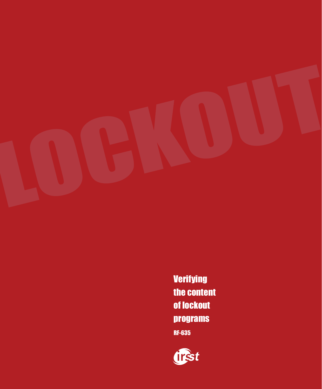

Verifying the content of lockout programs RF-635

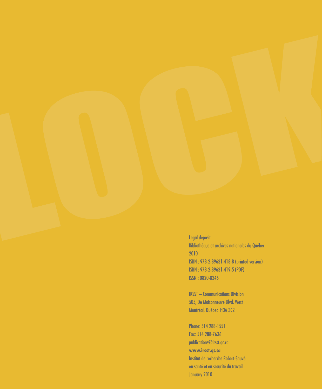Legal deposit Bibliothèque et archives nationales du Québec 2010 ISBN: 978-2-89631-418-8 (printed version) ISBN: 978-2-89631-419-5 (PDF) **ISSN: 0820-8345** 

**IRSST** - Communications Division 505, De Maisonneuve Blvd. West Montréal, Québec H3A 3C2

Phone: 514 288-1551 Fax: 514 288-7636 publications@irsst.qc.ca www.irsst.qc.ca Institut de recherche Robert-Sauvé en santé et en sécurité du travail January 2010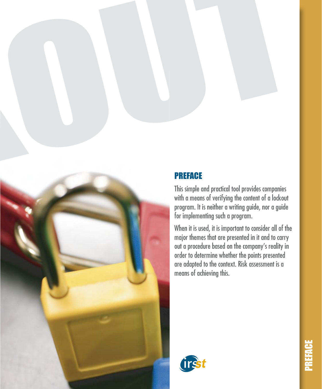#### **PREFACE**

This simple and practical tool provides companies with a means of verifying the content of a lockout program. It is neither a writing guide, nor a guide for implementing such a program.

When it is used, it is important to consider all of the major themes that are presented in it and to carry out a procedure based on the company's reality in order to determine whether the points presented are adapted to the context. Risk assessment is a means of achieving this.

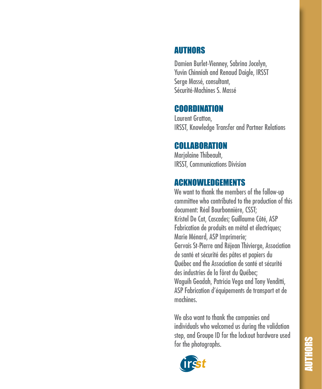#### **AUTHORS**

Damien Burlet-Vienney, Sabrina Jocelyn, **Yuvin Chinniah and Renaud Daigle, IRSST** Serge Massé, consultant, Sécurité-Machines S. Massé

#### COORDINATION

**Laurent Gratton. IRSST, Knowledge Transfer and Partner Relations** 

#### **COLLABORATION**

Marjolaine Thibeault, **IRSST, Communications Division** 

#### **ACKNOWLEDGEMENTS**

We want to thank the members of the follow-up committee who contributed to the production of this document: Réal Bourbonnière, CSST; Kristel De Cat, Cascades; Guillaume Côté, ASP Fabrication de produits en métal et électriques; Marie Ménard, ASP Imprimerie; Gervais St-Pierre and Réjean Thivierge, Association de santé et sécurité des pâtes et papiers du Québec and the Association de santé et sécurité des industries de la fôret du Québec: Waguih Geadah, Patricia Vega and Tony Venditti, ASP Fabrication d'équipements de transport et de machines

We also want to thank the companies and individuals who welcomed us during the validation step, and Groupe ID for the lockout hardware used for the photographs.

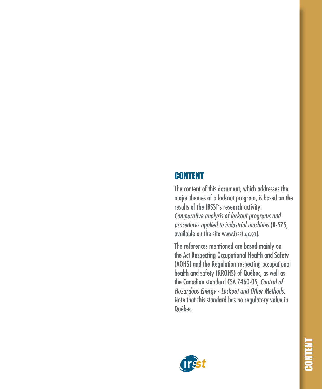#### **CONTENT**

The content of this document, which addresses the major themes of a lockout program, is based on the results of the IRSST's research activity: Comparative analysis of lockout programs and procedures applied to industrial machines (R-575, available on the site www.irsst.gc.ca).

The references mentioned are based mainly on the Act Respecting Occupational Health and Safety (AOHS) and the Regulation respecting occupational health and safety (RROHS) of Québec, as well as the Canadian standard CSA Z460-05, Control of Hazardous Energy - Lockout and Other Methods. Note that this standard has no regulatory value in Québec.

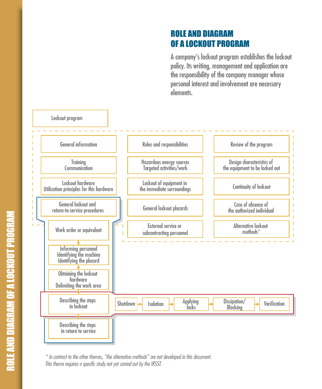#### **ROLE AND DIAGRAM** OF A LOCKOUT PROGRAM

A company's lockout program establishes the lockout policy. Its writing, management and application are the responsibility of the company manager whose personal interest and involvement are necessary elements.



\* In contrast to the other themes, "the alternative methods" are not developed in this document. This theme requires a specific study not yet carried out by the IRSST.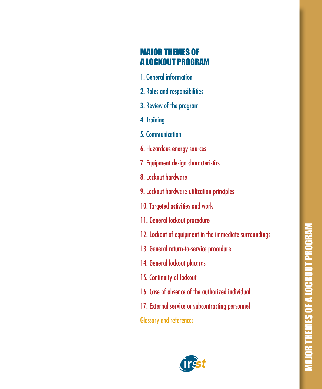#### **MAJOR THEMES OF A LOCKOUT PROGRAM**

- 1. General information
- 2. Roles and responsibilities
- 3. Review of the program
- 4. Training
- 5. Communication
- 6. Hazardous energy sources
- 7. Equipment design characteristics
- 8. Lockout hardware
- 9. Lockout hardware utilization principles
- 10. Targeted activities and work
- 11. General lockout procedure
- 12. Lockout of equipment in the immediate surroundings
- 13. General return-to-service procedure
- 14. General lockout placards
- 15. Continuity of lockout
- 16. Case of absence of the authorized individual
- 17. External service or subcontracting personnel

**Glossary and references** 

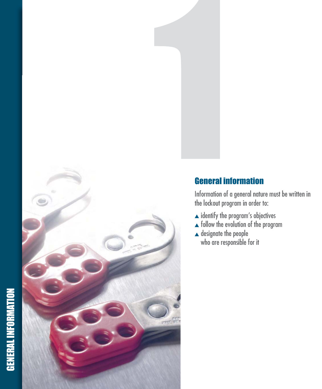

#### **General information**

Information of a general nature must be written in the lockout program in order to:

- $\blacktriangle$  identify the program's objectives
- $\triangle$  follow the evolution of the program
- $\triangle$  designate the people
	- who are responsible for it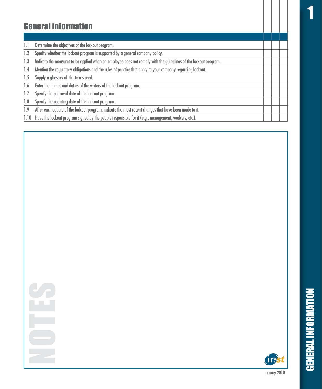1

#### General information

| 1.1  | Determine the objectives of the lockout program.                                                                 |  |  |
|------|------------------------------------------------------------------------------------------------------------------|--|--|
|      | Specify whether the lockout program is supported by a general company policy.                                    |  |  |
| 1.3  | Indicate the measures to be applied when an employee does not comply with the guidelines of the lockout program. |  |  |
| 1.4  | Mention the regulatory obligations and the rules of practice that apply to your company regarding lockout.       |  |  |
| 1.5  | Supply a glossary of the terms used.                                                                             |  |  |
| 1.6  | Enter the names and duties of the writers of the lockout program.                                                |  |  |
|      | Specify the approval date of the lockout program.                                                                |  |  |
| 1.8  | Specify the updating date of the lockout program.                                                                |  |  |
| 1.9  | After each update of the lockout program, indicate the most recent changes that have been made to it.            |  |  |
| 1.10 | Have the lockout program signed by the people responsible for it (e.g., management, workers, etc.).              |  |  |



GENERAL INFORMATION

**GENERAL INFORMATION**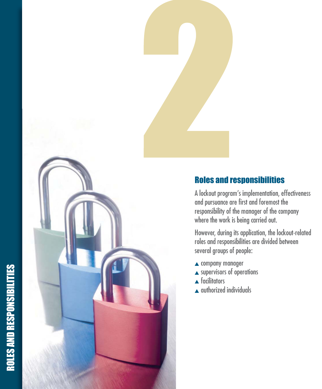## ROLES AND RESPONSIBILITIES ROLES AND RESPONSIBILITIES



#### Roles and responsibilities

A lockout program's implementation, effectiveness and pursuance are first and foremost the responsibility of the manager of the company where the work is being carried out.

However, during its application, the lockout-related roles and responsibilities are divided between several groups of people:

- $\triangle$  company manager
- $\triangle$  supervisors of operations
- $\triangle$  facilitators
- $\triangle$  authorized individuals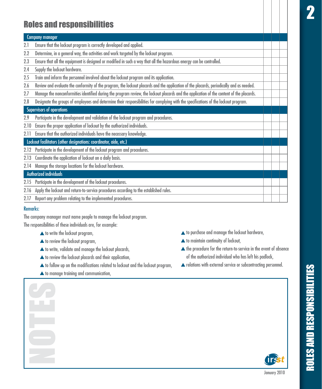#### Roles and responsibilities

#### **Company manager**

- 2.1 Ensure that the lockout program is correctly developed and applied.
- 2.2 Determine, in a general way, the activities and work targeted by the lockout program.
- 2.3 Ensure that all the equipment is designed or modified in such a way that all the hazardous energy can be controlled.
- 2.4 Supply the lockout hardware.
- 2.5 Train and inform the personnel involved about the lockout program and its application.
- $2.6$ eview and evaluate the conformity of the program, the lockout placards and the application of the placards, periodically and as needed.
- 2.7 Manage the nonconformities identified during the program review, the lockout placards and the application of the content of the placards.
- 2.8 Designate the groups of employees and determine their responsibilities for complying with the specifications of the lockout program.

#### Supervisors of operations

- 2.9 Participate in the development and validation of the lockout program and procedures.
- 2.10 Ensure the proper application of lockout by the authorized individuals.
- 2.11 Ensure that the authorized individuals have the necessary knowledge.

#### Lockout facilitators (other designations: coordinator, aide, etc.)

- 2.12 Participate in the development of the lockout program and procedures.
- 2.13 Coordinate the application of lockout on a daily basis.
- 2.14 Manage the storage locations for the lockout hardware.

#### Authorized individuals

- 2.15 Participate in the development of the lockout procedures.
- 2.16 Apply the lockout and return-to-service procedures according to the established rules.
- $2.17$ eport any problem relating to the implemented procedures.

#### Remarks:

The company manager must name people to manage the lockout program. The responsibilities of these individuals are, for example:

- $\blacktriangle$  to write the lockout program,
- $\blacktriangle$  to review the lockout program,
- $\blacktriangle$  to write, validate and manage the lockout placards,
- $\blacktriangle$  to review the lockout placards and their application,
- $\blacktriangle$  to follow up on the modifications related to lockout and the lockout program,
- $\blacktriangle$  to manage training and communication,
- to purchase and manage the lockout hardware,
- $\blacktriangle$  to maintain continuity of lockout,
- the procedure for the return-to-service in the event of absence of the authorized individual who has left his padlock,
- $\blacktriangle$  relations with external service or subcontracting personnel.



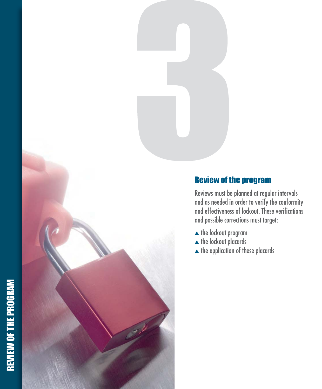## **REVIEW OF THE PROGRAM** REVIEW OF THE PROGRAM



#### Review of the program

Reviews must be planned at regular intervals and as needed in order to verify the conformity and effectiveness of lockout. These verifications and possible corrections must target:

- $\blacktriangle$  the lockout program
- $\blacktriangle$  the lockout placards
- $\blacktriangle$  the application of these placards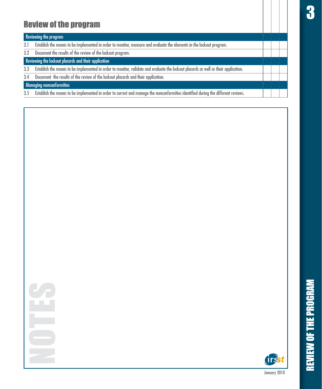#### **Review of the program**

#### Reviewing the program

- $3.1$ Establish the means to be implemented in order to monitor, measure and evaluate the elements in the lockout program.
- Document the results of the review of the lockout program.  $3.2$

Reviewing the lockout placards and their application

- Establish the means to be implemented in order to monitor, validate and evaluate the lockout placards as well as their application.  $3.3$
- Document the results of the review of the lockout placards and their application.  $3.4$

#### Managing nonconformities

Establish the means to be implemented in order to correct and manage the nonconformities identified during the different reviews.  $3.5$ 



**REVIEW OF THE PROGRAM**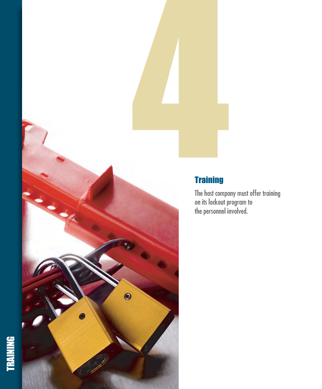



#### **Training**

The host company must offer training<br>on its lockout program to<br>the personnel involved.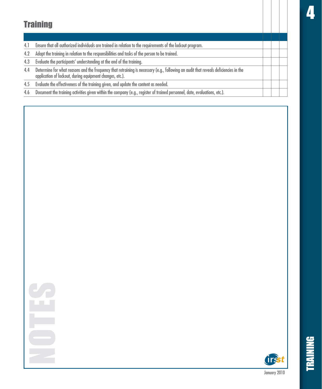#### **Training**

- Ensure that all authorized individuals are trained in relation to the requirements of the lockout program.  $4.1$
- Adapt the training in relation to the responsibilities and tasks of the person to be trained.  $4.2$
- Evaluate the participants' understanding at the end of the training.  $4.3$
- Determine for what reasons and the frequency that retraining is necessary (e.g., following an audit that reveals deficiencies in the  $4.4$ application of lockout, during equipment changes, etc.).
- Evaluate the effectiveness of the training given, and update the content as needed.  $4.5$
- Document the training activities given within the company (e.g., register of trained personnel, date, evaluations, etc.).  $4.6$





**BAINING**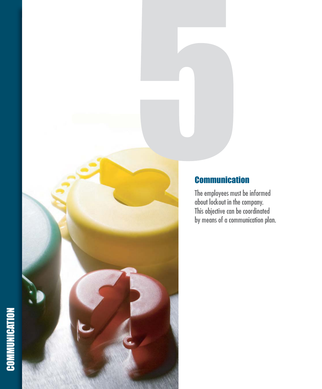### COMMUNICATION **COMMUNICATION**



#### **Communication**

The employees must be informed about lockout in the company. This objective can be coordinated by means of a communication plan.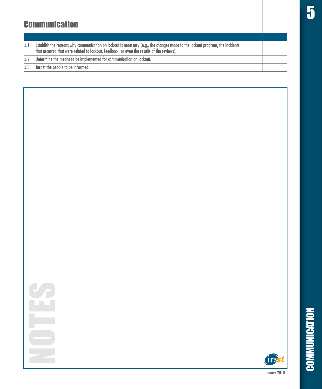#### **Communication**

- Establish the reasons why communication on lockout is necessary (e.g., the changes made to the lockout program, the incidents<br>that occurred that were related to lockout, feedback, or even the results of the reviews).  $5.1$
- $\overline{5.2}$ Determine the means to be implemented for communication on lockout.
- Target the people to be informed. 5.3

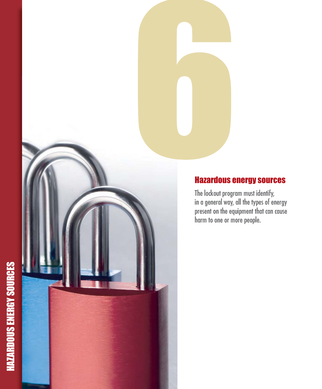## **HAZARDOUS ENERGY SOURCES** HAZARDOUS ENERGY SOURCES



#### Hazardous energy sources

The lockout program must identify, in a general way, all the types of energy present on the equipment that can cause harm to one or more people.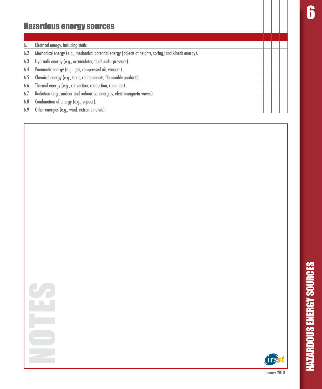**6** 

#### Hazardous energy sources

- 6.1 Electrical energy, including static.
- 6.2 Mechanical energy (e.g., mechanical potential energy [objects at heights, spring] and kinetic energy).
- 6.3 Hydraulic energy (e.g., accumulator, fluid under pressure).
- 6.4 Pneumatic energy (e.g., gas, compressed air, vacuum).
- 6.5 Chemical energy (e.g., toxic, contaminants, flammable products).
- 6.6 Thermal energy (e.g., convection, conduction, radiation).
- $6.7$ adiation (e.g., nuclear and radioactive energies, electromagnetic waves).
- 6.8 Combination of energy (e.g., vapour).
- 6.9 Other energies (e.g., wind, extreme noises).

HAZARDOUS ENERGY SOURCES

**HAZARDOUS ENERGY SOURCES** 

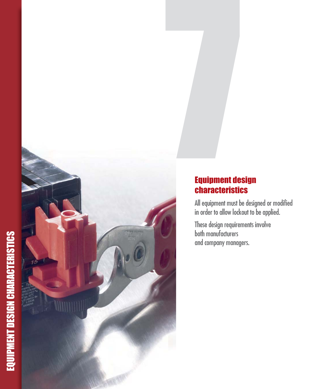# EQUIPMENT DESIGN CHARACTERISTICS



#### **Equipment design characteristics**

All equipment must be designed or modified in order to allow lockout to be applied.

These design requirements involve<br>both manufacturers and company managers.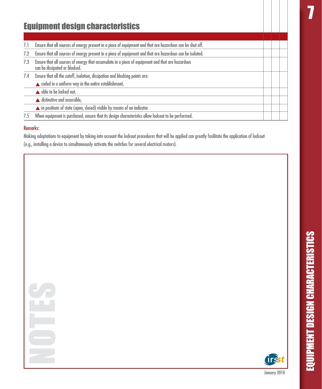| <b>Equipment design characteristics</b> |                                                                                                                                   |  |  |  |
|-----------------------------------------|-----------------------------------------------------------------------------------------------------------------------------------|--|--|--|
|                                         |                                                                                                                                   |  |  |  |
| 7.1                                     | Ensure that all sources of energy present in a piece of equipment and that are hazardous can be shut off.                         |  |  |  |
| 7.2                                     | Ensure that all sources of energy present in a piece of equipment and that are hazardous can be isolated.                         |  |  |  |
| 7.3                                     | Ensure that all sources of energy that accumulate in a piece of equipment and that are hazardous<br>can be dissipated or blocked. |  |  |  |
| 7.4                                     | Ensure that all the cutoff, isolation, dissipation and blocking points are:                                                       |  |  |  |
|                                         | $\triangle$ coded in a uniform way in the entire establishment,                                                                   |  |  |  |
|                                         | ▲ able to be locked out,                                                                                                          |  |  |  |
|                                         | $\blacktriangle$ distinctive and accessible,                                                                                      |  |  |  |
|                                         | in positions of state (open, closed) visible by means of an indicator.                                                            |  |  |  |
| 7.5                                     | When equipment is purchased, ensure that its design characteristics allow lockout to be performed.                                |  |  |  |

#### Remarks:

Making adaptations to equipment by taking into account the lockout procedures that will be applied can greatly facilitate the application of lockout (e.g., installing a device to simultaneously activate the switches for several electrical motors).

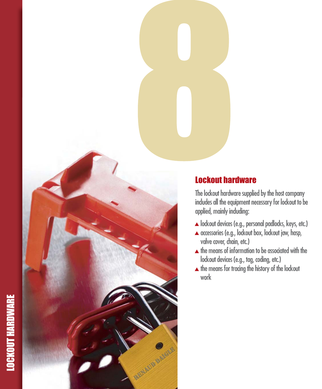## LOCKOUT HARDWARE**LOCKOUT HARDWARE**



#### Lockout hardware

The lockout hardware supplied by the host company indudes all the equipment necessary for lockout to be applied, mainly induding:

- $\blacktriangle$  lockout devices (e.g., personal padlocks, keys, etc.)
- $\blacktriangle$  accessories (e.g., lockout box, lockout jaw, hasp, valve cover, chain, etc.)
- $\blacktriangle$  the means of information to be associated with the lockout devices (e.g., tag, coding, etc.)
- $\blacktriangle$  the means for tracing the history of the lockout work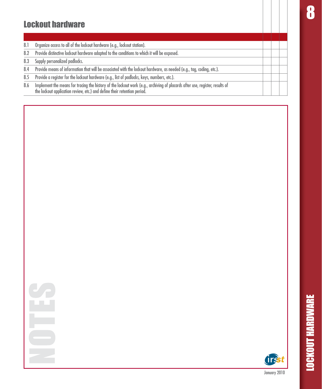#### **Lockout hardware**

- $8.1$ Organize access to all of the lockout hardware (e.g., lockout station).
- $8.2$ Provide distinctive lockout hardware adapted to the conditions to which it will be exposed.
- Supply personalized padlocks.  $8.3$
- Provide means of information that will be associated with the lockout hardware, as needed (e.g., tag, coding, etc.).  $8.4$
- Provide a register for the lockout hardware (e.g., list of padlocks, keys, numbers, etc.). 8.5
- Implement the means for tracing the history of the lockout work (e.g., archiving of placards after use, register, results of 8.6 the lockout application review, etc.) and define their retention period.



**LOCKOUT HARDWARE**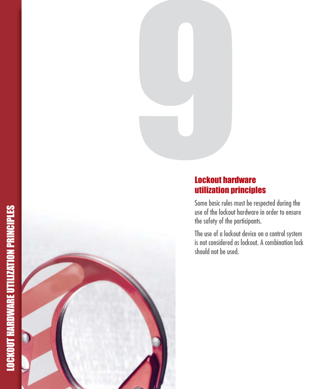

#### Lockout hardware utilization principles

Some basic rules must be respected during the use of the lockout hardware in order to ensure the safety of the participants.

The use of a lockout device on a control system is not considered as lockout. A combination lock should not be used.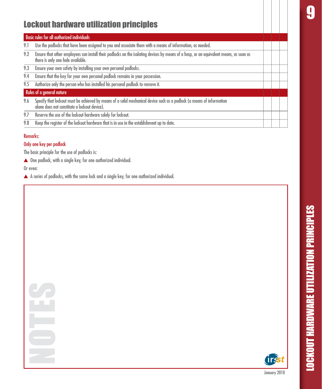#### Lockout hardware utilization principles

#### **Basic rules for all authorized individuals**

- 9.1 Use the padlocks that have been assigned to you and associate them with a means of information, as needed.
- 9.2 Ensure that other employees can install their padlocks on the isolating devices by means of a hasp, or an equivalent means, as soon as there is only one hole available.
- 9.3 Ensure your own safety by installing your own personal padlocks.
- 9.4 Ensure that the key for your own personal padlock remains in your possession.
- 9.5 Authorize only the person who has installed his personal padlock to remove it.

#### Rules of a general nature

- 9.6 Specify that lockout must be achieved by means of a solid mechanical device such as a padlock (a means of information alone does not constitute a lockout device).
- $9.7$ eserve the use of the lockout hardware solely for lockout.
- 9.8 Keep the register of the lockout hardware that is in use in the establishment up to date.

#### Remarks:

#### Only one key per padlock

The basic principle for the use of padlocks is:

 $\blacktriangle$  One padlock, with a single key, for one authorized individual.

Or even:

 $\blacktriangle$  A series of padlocks, with the same lock and a single key, for one authorized individual.



LOCKOUT HARDWARE UTILIZATION PRINCIPLES

**DCKOUT HARDWARE UTILIZATION PRINCIPLES**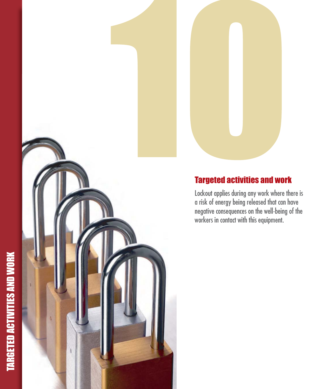# **TARGETED ACTIVITIES AND WORK** TARGETED ACTIVITIES AND WORK



#### Targeted activities and work

Lockout applies during any work where there is a risk of energy being released that can have negative consequences on the well-being of the workers in contact with this equipment.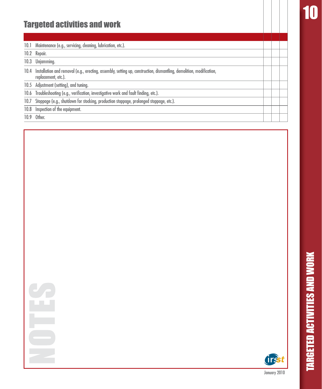### 10

#### Targeted activities and work

10.1 Maintenance (e.g., servicing, cleaning, lubrication, etc.).

10.2 Repair.

10.3 Unjamming.

- 10.4 Installation and removal (e.g., erecting, assembly, setting up, construction, dismantling, demolition, modification, replacement, etc.).
- 10.5 Adjustment (setting), and tuning.

10.6 Troubleshooting (e.g., verification, investigative work and fault finding, etc.).

- 10.7 Stoppage (e.g., shutdown for stocking, production stoppage, prolonged stoppage, etc.).
- 10.8 Inspection of the equipment.

10.9 Other.

TARGETED ACTIVITIES AND WORK

**TARGETED ACTIVITIES AND WORK** 

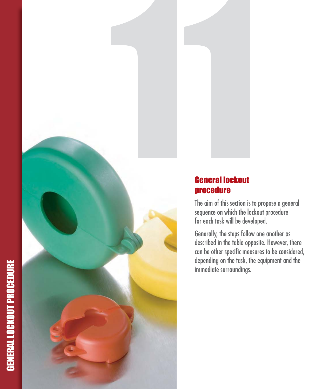## **GENERAL LOCKOUT PROCEDURE** GENERAL LOCKOUT PROCEDURE





The aim of this section is to propose a general sequence on which the lockout procedure for each task will be developed.

Generally, the steps follow one another as described in the table opposite. However, there can be other specific measures to be considered, depending on the task, the equipment and the immediate surroundings.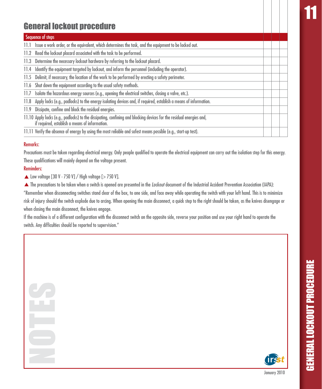#### General lockout procedure

#### Sequence of steps 11.1 Issue a work order, or the equivalent, which determines the task, and the equipment to be locked out. 11.2 Read the lockout placard associated with the task to be performed. 11.3 Determine the necessary lockout hardware by referring to the lockout placard.  $11.4$ entify the equipment targeted by lockout, and inform the personnel (including the operator). 11.5 Delimit, if necessary, the location of the work to be performed by erecting a safety perimeter. 11.6 Shut down the equipment according to the usual safety methods. 11.7 Isolate the hazardous energy sources (e.g., opening the electrical switches, dosing a valve, etc.). 11.8 Apply locks (e.g., padlocks) to the energy isolating devices and, if required, establish a means of information. 11.9 Dissipate, confine and block the residual energies. 11.10 Apply locks (e.g., padlocks) to the dissipating, confining and blocking devices for the residual energies and, if required, establish a means of information. 11.11 Verify the absence of energy by using the most reliable and safest means possible (e.g., start-up test).

#### Remarks:

Precautions must be taken reaardina electrical eneray. Only people aualified to operate the electrical eaujoment can carry out the isolation step for this eneray. These aualifications will mainly depend on the voltage present.

#### Reminders:

- $\triangle$  Low voltage [30 V 750 V] / High voltage [> 750 V].
- ▲ The precautions to be taken when a switch is opened are presented in the *Lockout* document of the Industrial Accident Prevention Association (IAPA):

"Remember when disconnectina switches stand clear of the box, to one side, and face away while operatina the switch with your left hand. This is to minimize risk of iniurv should the switch explode due to arcina. When openina the main disconnect, a auick step to the right should be taken, as the knives disenagae or when closing the main disconnect, the knives engage.

If the machine is of a different confiauration with the disconnect switch on the opposite side, reverse vour position and use vour right hand to operate the the state the comparate the comparate the comparate the comparat switch. Anv difficulties should be reported to supervision."

> **GENERAL LOCKOUT PROCEDURE** GENERAL LOCKOUT PROCEDURE

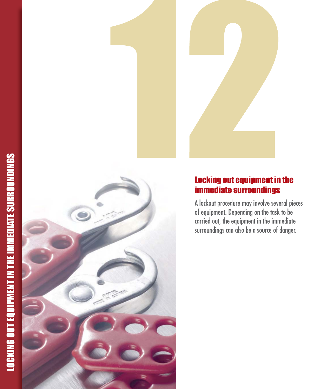

#### Locking out equipment in the immediate surroundings

A lockout procedure may involve several pieces of equipment. Depending on the task to be carried out, the equipment in the immediate surroundings can also be a source of danger.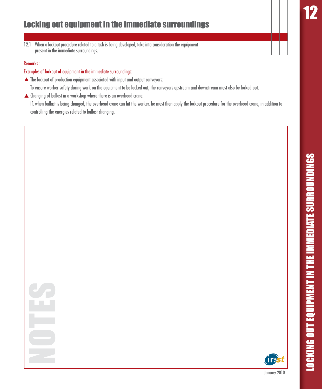12.1 When a lockout procedure related to a task is being developed, take into consideration the equipment present in the immediate surroundinas.

#### Remarks:

#### Examples of lockout of equipment in the immediate surroundings:

- The lockout of production equipment associated with input and output conveyors: To ensure worker safety during work on the equipment to be locked out, the conveyors upstream and downstream must also be locked out.
- ▲ Changing of ballast in a workshop where there is an overhead crane:

If, when ballast is being changed, the overhead crane can hit the worker, he must then apply the lockout procedure for the overhead crane, in addition to controlling the energies related to ballast changing.

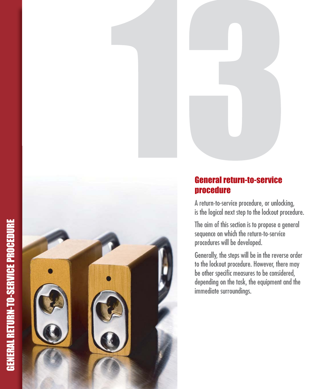



A return-to-service procedure, or unlocking, is the logical next step to the lockout procedure.

The aim of this section is to propose a general sequence on which the return-to-service procedures will be developed.

Generally, the steps will be in the reverse order to the lockout procedure. However, there may be other specific measures to be considered, depending on the task, the equipment and the immediate surroundings.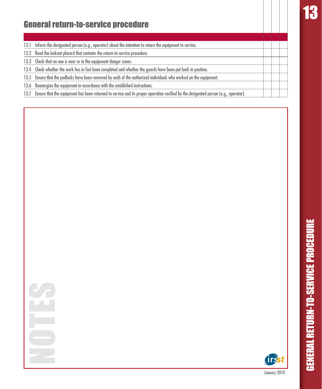### **IR**

#### General return-to-service procedure

- 13.1 Inform the designated person (e.g., operator) about the intention to return the equipment to service.
- $13.2$ ead the lockout placard that contains the return-to-service procedure.
- 13.3 Check that no one is near or in the equipment danger zones.
- 13.4 Check whether the work has in fact been completed and whether the guards have been put back in position.
- 13.5 Ensure that the padlocks have been removed by each of the authorized individuals who worked on the equipment.
- 13.6 Reenergize the equipment in accordance with the established instructions.
- 13.7 Ensure that the equipment has been returned to service and its proper operation verified by the designated person (e.g., operator).



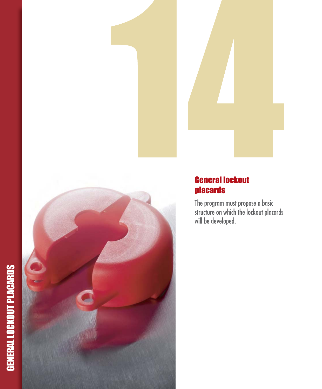# GENERAL LOCKOUT PLACARDS



#### **General lockout** placards

The program must propose a basic structure on which the lockout placards will be developed.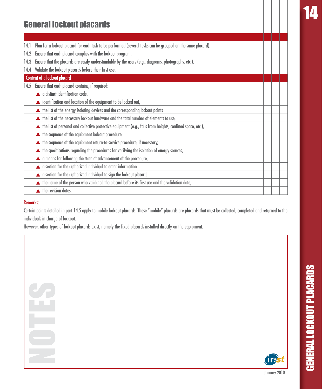#### General lockout placards

- 14.1 Plan for a lockout placard for each task to be performed (several tasks can be arouped on the same placard).
- 14.2 Ensure that each placard complies with the lockout program.
- 14.3 Ensure that the placards are easily understandable by the users (e.g., diagrams, photographs, etc.).
- 14.4 Validate the lockout placards before their first use.

#### Content of a lockout placard

- 14.5 Ensure that each placard contains, if required:
- A a distinct identification code,
- $\blacktriangle$  identification and location of the equipment to be locked out,
- $\blacktriangle$  the list of the energy isolating devices and the corresponding lockout points
- $\blacktriangle$  the list of the necessary lockout hardware and the total number of elements to use,
- $\blacktriangle$  the list of personal and collective protective equipment (e.g., falls from heights, confined space, etc.),
- $\blacktriangle$  the sequence of the equipment lockout procedure,
- $\blacktriangle$  the sequence of the equipment return-to-service procedure, if necessary,
- $\blacktriangle$  the specifications regarding the procedures for verifying the isolation of energy sources,
- $\blacktriangle$  a means for following the state of advancement of the procedure,
- $\blacktriangle$  a section for the authorized individual to enter information,
- $\blacktriangle$  a section for the authorized individual to sign the lockout placard,
- $\blacktriangle$  the name of the person who validated the placard before its first use and the validation date,
- $\blacktriangle$  the revision dates.

#### Remarks:

Certain points detailed in part 14.5 apply to mobile lockout placards. These "mobile" placards are placards that must be collected, completed and returned to the individuals in charae of lockout.

However, other types of lockout placards exist, namely the fixed placards installed directly on the eauipment,

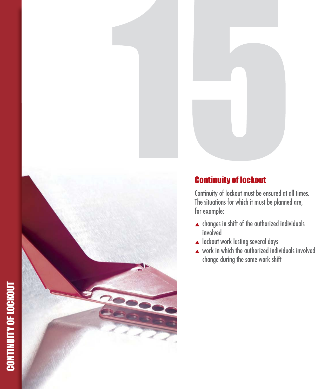## **CONTINUITY OF LOCKOUT** CONTINUITY OF LOCKOUT



#### Continuity of lockout

Continuity of lockout must be ensured at all times. The situations for which it must be planned are, for example:

- $\blacktriangle$  changes in shift of the authorized individuals involved
- ▲ lockout work lasting several days
- $\blacktriangle$  work in which the authorized individuals involved change during the same work shift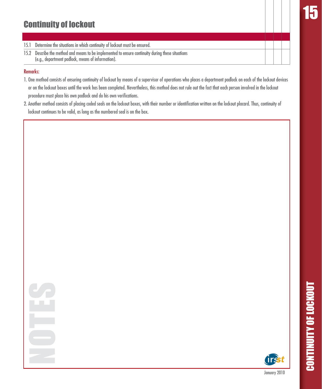#### **Continuity of lockout**

- Determine the situations in which continuity of lockout must be ensured.  $15.1$
- 15.2 Describe the method and means to be implemented to ensure continuity during these situations (e.g., department padlock, means of information).

#### **Remarks:**

- 1. One method consists of ensuring continuity of lockout by means of a supervisor of operations who places a department padlock on each of the lockout devices or on the lockout boxes until the work has been completed. Nevertheless, this method does not rule out the fact that each person involved in the lockout procedure must place his own padlock and do his own verifications.
- 2. Another method consists of placing coded seals on the lockout boxes, with their number or identification written on the lockout placard. Thus, continuity of lockout continues to be valid, as long as the numbered seal is on the box.



**CONTINUITY OF LOCKOUT**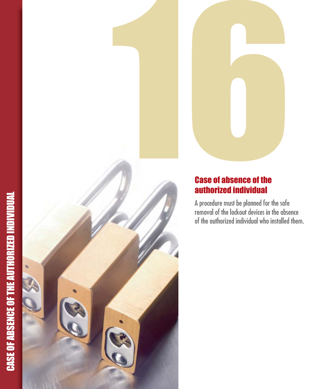# **CASE OF ABSENCE OF THE AUTHORIZED INDIVIDUAL** CASE OF ABSENCE OF THE AUTHORIZED INDIVIDUAL





#### Case of absence of the authorized individual

A procedure must be planned for the safe removal of the lockout devices in the absence of the authorized individual who installed them.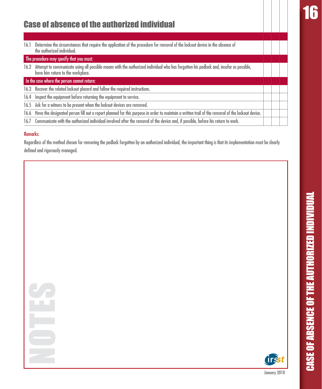#### Case of absence of the authorized individual

16.1 Determine the circumstances that require the application of the procedure for removal of the lockout device in the absence of the authorized individual.

#### The procedure may specify that you must:

- 16.2 Attempt to communicate usina all possible means with the authorized individual who has foraotten his padlock and, insofar as possible, have him return to the workplace.
- In the case where the person cannot return:
- 16.3 Recover the related lockout placard and follow the required instructions.
- $\overline{16.4}$  Inspect the equipment before returning the equipment to service.
- 16.5 Ask for a witness to be present when the lockout devices are removed.
- 16.6 Have the designated person fill out a report planned for this purpose in order to maintain a written trail of the removal of the lockout device.
- 16.7 Communicate with the authorized individual involved after the removal of the device and, if possible, before his return to work.

#### Remarks:

Reaardless of the method chosen for removina the padlock forgotten by an authorized individual, the important thina is that its implementation must be dearly defined and riaorously manaaed.



CASE OF ABSENCE OF THE AUTHORIZED INDIVIDUAL

**CASE OF ABSENCE OF THE AUTHORIZED INDIVIDUAL**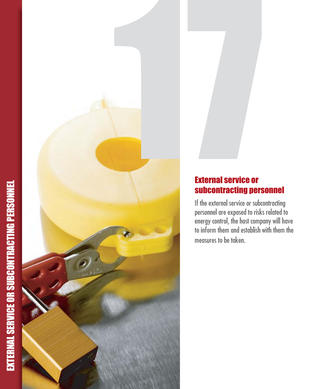# EXTERNAL SERVICE OR SUBCONTRACTING PERSONNEL EXTERNAL SERVICE OR SUBCONTRACTING PERSONNEL





If the external service or subcontracting personnel are exposed to risks related to energy control, the host company will have to inform them and establish with them the measures to be taken.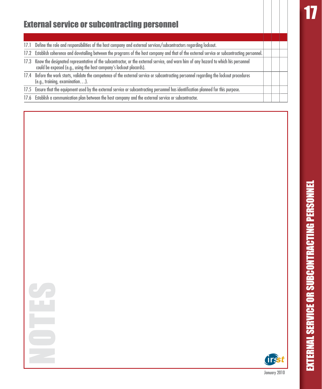### 17

#### External service or subcontracting personnel

- 17.1 Define the role and responsibilities of the host company and external services/subcontractors regarding lockout.
- 17.2 Establish coherence and dovetailing between the programs of the host company and that of the external service or subcontracting personnel.
- 17.3 Know the designated representative of the subcontractor, or the external service, and warn him of any hazard to which his personnel could be exposed (e.g., using the host company's lockout placards).
- 17.4 Before the work starts, validate the competence of the external service or subcontractina personnel reaardina the lockout procedures  $(e.g., training, examination...).$
- 17.5 Ensure that the equipment used by the external service or subcontracting personnel has identification planned for this purpose.
- 17.6 Establish a communication plan between the host company and the external service or subcontractor.



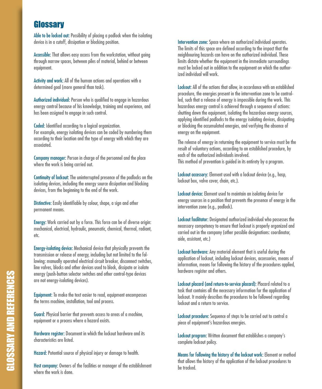#### Glossary

Able to be locked out: Possibility of placing a padlock when the isolating device is in a cutoff, dissipation or blocking position.

Accessible: That allows easy access from the workstation, without going through narrow spaces, between piles of material, behind or between equipment.

Activity and work: All of the human actions and operations with a determined goal (more general than task).

Authorized individual: Person who is qualified to engage in hazardous energy control because of his knowledge, training and experience, and has been assigned to engage in such control.

Coded: Identified according to a logical organization. For example, energy isolating devices can be coded by numbering them according to their location and the type of energy with which they are associated.

Company manager: Person in charge of the personnel and the place where the work is being carried out.

Continuity of lockout: The uninterrupted presence of the padlocks on the isolating devices, including the energy source dissipation and blocking devices, from the beginning to the end of the work.

Distinctive: Easily identifiable by colour, shape, a sign and other permanent means.

Energy: Work carried out by a force. This force can be of diverse origin: mechanical, electrical, hydraulic, pneumatic, chemical, thermal, radiant, etc.

Energy-isolating device: Mechanical device that physically prevents the transmission or release of energy, including but not limited to the following: manually operated electrical circuit breaker, disconnect switches, line valves, blocks and other devices used to block, dissipate or isolate energy (push-button selector switches and other control-type devices are not energy-isolating devices).

Equipment: To make the text easier to read, equipment encompasses the terms machine, installation, tool and process.

Guard: Physical barrier that prevents access to areas of a machine, equipment or a process where a hazard exists.

Hardware register: Document in which the lockout hardware and its characteristics are listed.

Hazard: Potential source of physical injury or damage to health.

Host company: Owners of the facilities or manager of the establishment where the work is done.

Intervention zone: Space where an authorized individual operates. The limits of this space are defined accordina to the impact that the neighbouring hazards can have on the authorized individual. These limits dictate whether the eauipment in the immediate surroundinas must be locked out in addition to the equipment on which the authoraliw loubivihoi hasi

Lockout: All of the actions that allow, in accordance with an established procedure, the energies present in the intervention zone to be controlled, such that a release of energy is impossible during the work. This hazardous energy control is achieved through a sequence of actions: shutting down the equipment, isolating the hazardous energy sources, applying identified padlocks to the energy isolating devices, dissipating or blocking the accumulated energies, and verifying the absence of energy on the equipment.

The release of energy in returning the equipment to service must be the result of voluntary actions, accordina to an established procedure, by each of the authorized individuals involved. This method of prevention is auided in its entirety by a program.

Lockout accessory: Element used with a lockout device (e.g., hasp, lockout box, valve cover, chain, etc.).

Lockout device: Element used to maintain an isolating device for energy sources in a position that prevents the presence of energy in the intervention zone (e.g., padlock).

Lockout facilitator: Designated authorized individual who possesses the necessary competency to ensure that lockout is properly organized and carried out in the company (other possible designations: coordinator, aide, assistant, etc.)

Lockout hardware: Any material element that is useful during the application of lockout, including lockout devices, accessories, means of information, means for following the history of the procedures applied, hardware register and others.

Lockout placard (and return-to-service placard): Placard related to a task that contains all the necessary information for the application of lockout. It mainly describes the procedures to be followed regarding lockout and a return to service.

Lockout procedure: Sequence of steps to be carried out to control a piece of equipment's hazardous energies.

Lockout program: Written document that establishes a company's complete lockout policy.

Means for following the history of the lockout work: Element or method that allows the history of the application of the lockout procedures to be tracked.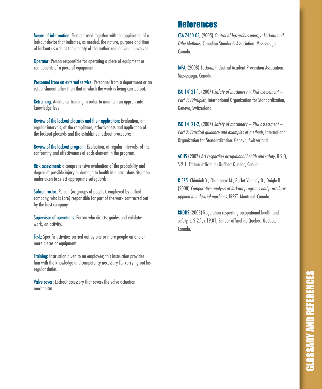Means of information: Element used together with the application of a lockout device that indicates, as needed, the nature, purpose and time of lockout as well as the identity of the authorized individual involved.

Operator: Person responsible for operating a piece of equipment or components of a piece of equipment.

Personnel from an external service: Personnel from a department or an establishment other than that in which the work is being carried out.

Retraining: Additional training in order to maintain an appropriate knowledge level.

Review of the lockout placards and their application: Evaluation, at regular intervals, of the compliance, effectiveness and application of the lockout placards and the established lockout procedures.

Review of the lockout program: Evaluation, at regular intervals, of the conformity and effectiveness of each element in the program.

Risk assessment: a comprehensive evaluation of the probability and degree of possible injury or damage to health in a hazardous situation, undertaken to select appropriate safeguards.

Subcontractor: Person (or groups of people), employed by a third company, who is (are) responsible for part of the work contracted out by the host company.

Supervisor of operations: Person who directs, guides and validates work, an activity.

Task: Specific activities carried out by one or more people on one or more pieces of equipment.

Training: Instruction given to an employee; this instruction provides him with the knowledge and competency necessary for carrying out his regular duties.

Valve cover: Lockout accessory that covers the valve actuation mechanism

#### **References**

CSA Z460-05, (2005) Control of hazardous energy: Lockout and Othe Methods, Canadian Standards Association: Mississauga. nhnnn)

**IAPA.** (2008) *Lockout*, Industrial Accident Prevention Association: Mississauga, Canada.

ISO 14121-1. (2007) Safety of machinery - Risk assessment -Part 1: Principles, International Organization for Standardization, Geneva, Switzerland.

ISO 14121-2, (2007) Safety of machinery - Risk assessment -Part 2: Practical avidance and examples of methods. International Organization for Standardization, Geneva, Switzerland.

AOHS (2007) Act respecting occupational health and safety, R.S.Q. S-2.1. Éditeur officiel du Québec: Québec. Canada.

R-575, Chinniah Y., Champoux M., Burlet-Vienney D., Daigle R. (2008) Comparative analysis of lockout programs and procedures applied to industrial machines, IRSST: Montréal, Canada.

RROHS (2008) Regulation respecting occupational health and safety, c. S-2.1, r.19.01. Éditeur officiel du Québec: Québec. nhnnn)